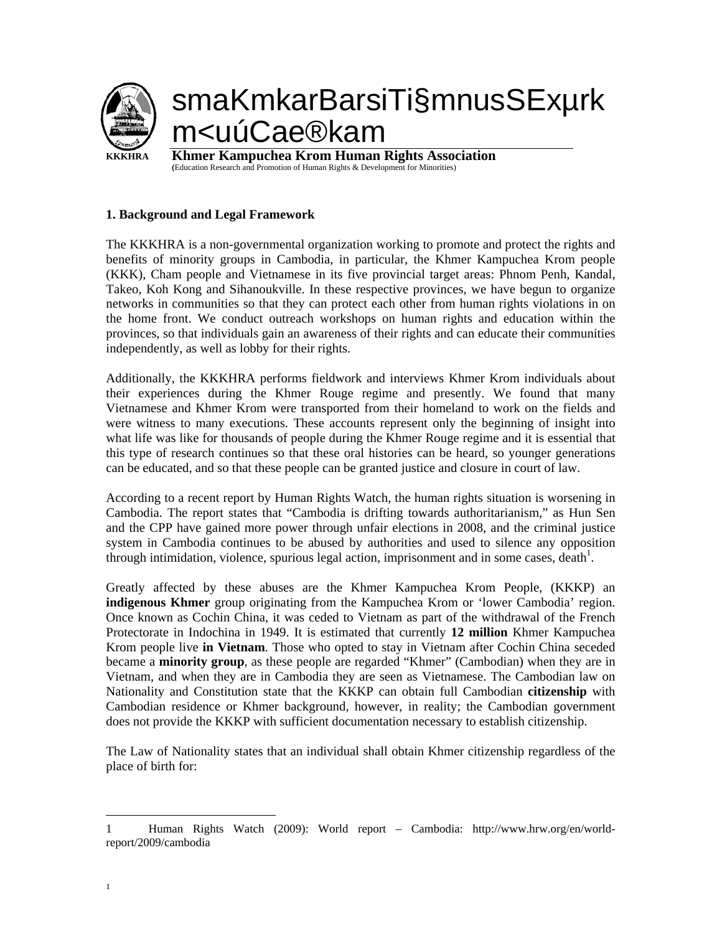

## **1. Background and Legal Framework**

The KKKHRA is a non-governmental organization working to promote and protect the rights and benefits of minority groups in Cambodia, in particular, the Khmer Kampuchea Krom people (KKK), Cham people and Vietnamese in its five provincial target areas: Phnom Penh, Kandal, Takeo, Koh Kong and Sihanoukville. In these respective provinces, we have begun to organize networks in communities so that they can protect each other from human rights violations in on the home front. We conduct outreach workshops on human rights and education within the provinces, so that individuals gain an awareness of their rights and can educate their communities independently, as well as lobby for their rights.

Additionally, the KKKHRA performs fieldwork and interviews Khmer Krom individuals about their experiences during the Khmer Rouge regime and presently. We found that many Vietnamese and Khmer Krom were transported from their homeland to work on the fields and were witness to many executions. These accounts represent only the beginning of insight into what life was like for thousands of people during the Khmer Rouge regime and it is essential that this type of research continues so that these oral histories can be heard, so younger generations can be educated, and so that these people can be granted justice and closure in court of law.

According to a recent report by Human Rights Watch, the human rights situation is worsening in Cambodia. The report states that "Cambodia is drifting towards authoritarianism," as Hun Sen and the CPP have gained more power through unfair elections in 2008, and the criminal justice system in Cambodia continues to be abused by authorities and used to silence any opposition through intimidation, violence, spurious legal action, imprisonment and in some cases, death $<sup>1</sup>$ .</sup>

Greatly affected by these abuses are the Khmer Kampuchea Krom People, (KKKP) an **indigenous Khmer** group originating from the Kampuchea Krom or 'lower Cambodia' region. Once known as Cochin China, it was ceded to Vietnam as part of the withdrawal of the French Protectorate in Indochina in 1949. It is estimated that currently **12 million** Khmer Kampuchea Krom people live **in Vietnam**. Those who opted to stay in Vietnam after Cochin China seceded became a **minority group**, as these people are regarded "Khmer" (Cambodian) when they are in Vietnam, and when they are in Cambodia they are seen as Vietnamese. The Cambodian law on Nationality and Constitution state that the KKKP can obtain full Cambodian **citizenship** with Cambodian residence or Khmer background, however, in reality; the Cambodian government does not provide the KKKP with sufficient documentation necessary to establish citizenship.

The Law of Nationality states that an individual shall obtain Khmer citizenship regardless of the place of birth for:

 $\overline{a}$ 

<sup>1</sup> Human Rights Watch (2009): World report – Cambodia: http://www.hrw.org/en/worldreport/2009/cambodia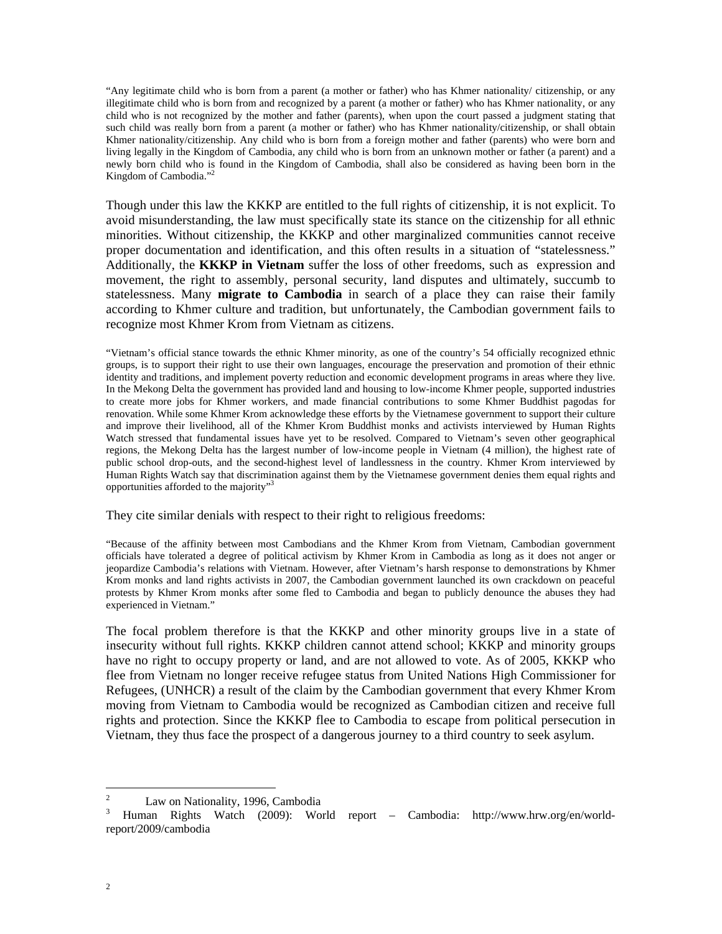"Any legitimate child who is born from a parent (a mother or father) who has Khmer nationality/ citizenship, or any illegitimate child who is born from and recognized by a parent (a mother or father) who has Khmer nationality, or any child who is not recognized by the mother and father (parents), when upon the court passed a judgment stating that such child was really born from a parent (a mother or father) who has Khmer nationality/citizenship, or shall obtain Khmer nationality/citizenship. Any child who is born from a foreign mother and father (parents) who were born and living legally in the Kingdom of Cambodia, any child who is born from an unknown mother or father (a parent) and a newly born child who is found in the Kingdom of Cambodia, shall also be considered as having been born in the Kingdom of Cambodia."

Though under this law the KKKP are entitled to the full rights of citizenship, it is not explicit. To avoid misunderstanding, the law must specifically state its stance on the citizenship for all ethnic minorities. Without citizenship, the KKKP and other marginalized communities cannot receive proper documentation and identification, and this often results in a situation of "statelessness." Additionally, the **KKKP in Vietnam** suffer the loss of other freedoms, such as expression and movement, the right to assembly, personal security, land disputes and ultimately, succumb to statelessness. Many **migrate to Cambodia** in search of a place they can raise their family according to Khmer culture and tradition, but unfortunately, the Cambodian government fails to recognize most Khmer Krom from Vietnam as citizens.

"Vietnam's official stance towards the ethnic Khmer minority, as one of the country's 54 officially recognized ethnic groups, is to support their right to use their own languages, encourage the preservation and promotion of their ethnic identity and traditions, and implement poverty reduction and economic development programs in areas where they live. In the Mekong Delta the government has provided land and housing to low-income Khmer people, supported industries to create more jobs for Khmer workers, and made financial contributions to some Khmer Buddhist pagodas for renovation. While some Khmer Krom acknowledge these efforts by the Vietnamese government to support their culture and improve their livelihood, all of the Khmer Krom Buddhist monks and activists interviewed by Human Rights Watch stressed that fundamental issues have yet to be resolved. Compared to Vietnam's seven other geographical regions, the Mekong Delta has the largest number of low-income people in Vietnam (4 million), the highest rate of public school drop-outs, and the second-highest level of landlessness in the country. Khmer Krom interviewed by Human Rights Watch say that discrimination against them by the Vietnamese government denies them equal rights and opportunities afforded to the majority"3

They cite similar denials with respect to their right to religious freedoms:

"Because of the affinity between most Cambodians and the Khmer Krom from Vietnam, Cambodian government officials have tolerated a degree of political activism by Khmer Krom in Cambodia as long as it does not anger or jeopardize Cambodia's relations with Vietnam. However, after Vietnam's harsh response to demonstrations by Khmer Krom monks and land rights activists in 2007, the Cambodian government launched its own crackdown on peaceful protests by Khmer Krom monks after some fled to Cambodia and began to publicly denounce the abuses they had experienced in Vietnam."

The focal problem therefore is that the KKKP and other minority groups live in a state of insecurity without full rights. KKKP children cannot attend school; KKKP and minority groups have no right to occupy property or land, and are not allowed to vote. As of 2005, KKKP who flee from Vietnam no longer receive refugee status from United Nations High Commissioner for Refugees, (UNHCR) a result of the claim by the Cambodian government that every Khmer Krom moving from Vietnam to Cambodia would be recognized as Cambodian citizen and receive full rights and protection. Since the KKKP flee to Cambodia to escape from political persecution in Vietnam, they thus face the prospect of a dangerous journey to a third country to seek asylum.

 $\frac{1}{2}$ Law on Nationality, 1996, Cambodia

<sup>3</sup> Human Rights Watch (2009): World report – Cambodia: http://www.hrw.org/en/worldreport/2009/cambodia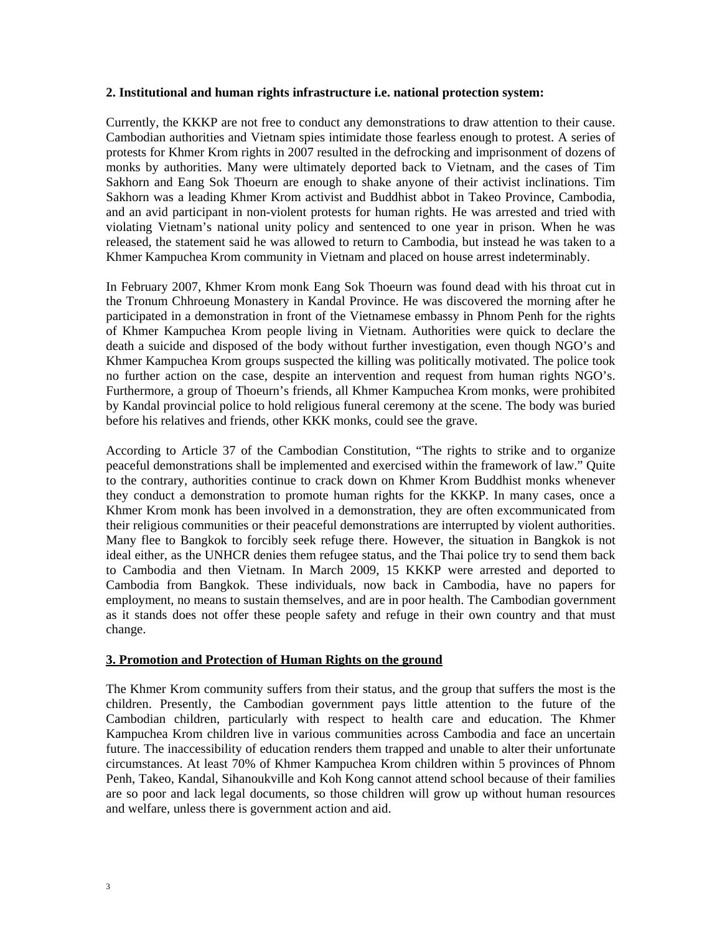## **2. Institutional and human rights infrastructure i.e. national protection system:**

Currently, the KKKP are not free to conduct any demonstrations to draw attention to their cause. Cambodian authorities and Vietnam spies intimidate those fearless enough to protest. A series of protests for Khmer Krom rights in 2007 resulted in the defrocking and imprisonment of dozens of monks by authorities. Many were ultimately deported back to Vietnam, and the cases of Tim Sakhorn and Eang Sok Thoeurn are enough to shake anyone of their activist inclinations. Tim Sakhorn was a leading Khmer Krom activist and Buddhist abbot in Takeo Province, Cambodia, and an avid participant in non-violent protests for human rights. He was arrested and tried with violating Vietnam's national unity policy and sentenced to one year in prison. When he was released, the statement said he was allowed to return to Cambodia, but instead he was taken to a Khmer Kampuchea Krom community in Vietnam and placed on house arrest indeterminably.

In February 2007, Khmer Krom monk Eang Sok Thoeurn was found dead with his throat cut in the Tronum Chhroeung Monastery in Kandal Province. He was discovered the morning after he participated in a demonstration in front of the Vietnamese embassy in Phnom Penh for the rights of Khmer Kampuchea Krom people living in Vietnam. Authorities were quick to declare the death a suicide and disposed of the body without further investigation, even though NGO's and Khmer Kampuchea Krom groups suspected the killing was politically motivated. The police took no further action on the case, despite an intervention and request from human rights NGO's. Furthermore, a group of Thoeurn's friends, all Khmer Kampuchea Krom monks, were prohibited by Kandal provincial police to hold religious funeral ceremony at the scene. The body was buried before his relatives and friends, other KKK monks, could see the grave.

According to Article 37 of the Cambodian Constitution, "The rights to strike and to organize peaceful demonstrations shall be implemented and exercised within the framework of law." Quite to the contrary, authorities continue to crack down on Khmer Krom Buddhist monks whenever they conduct a demonstration to promote human rights for the KKKP. In many cases, once a Khmer Krom monk has been involved in a demonstration, they are often excommunicated from their religious communities or their peaceful demonstrations are interrupted by violent authorities. Many flee to Bangkok to forcibly seek refuge there. However, the situation in Bangkok is not ideal either, as the UNHCR denies them refugee status, and the Thai police try to send them back to Cambodia and then Vietnam. In March 2009, 15 KKKP were arrested and deported to Cambodia from Bangkok. These individuals, now back in Cambodia, have no papers for employment, no means to sustain themselves, and are in poor health. The Cambodian government as it stands does not offer these people safety and refuge in their own country and that must change.

## **3. Promotion and Protection of Human Rights on the ground**

The Khmer Krom community suffers from their status, and the group that suffers the most is the children. Presently, the Cambodian government pays little attention to the future of the Cambodian children, particularly with respect to health care and education. The Khmer Kampuchea Krom children live in various communities across Cambodia and face an uncertain future. The inaccessibility of education renders them trapped and unable to alter their unfortunate circumstances. At least 70% of Khmer Kampuchea Krom children within 5 provinces of Phnom Penh, Takeo, Kandal, Sihanoukville and Koh Kong cannot attend school because of their families are so poor and lack legal documents, so those children will grow up without human resources and welfare, unless there is government action and aid.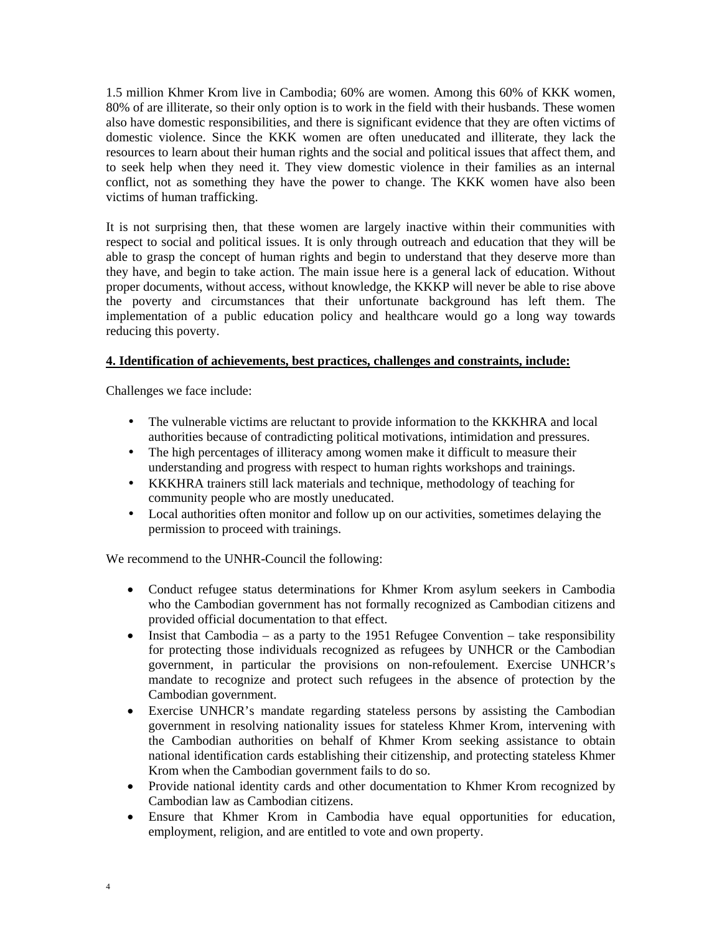1.5 million Khmer Krom live in Cambodia; 60% are women. Among this 60% of KKK women, 80% of are illiterate, so their only option is to work in the field with their husbands. These women also have domestic responsibilities, and there is significant evidence that they are often victims of domestic violence. Since the KKK women are often uneducated and illiterate, they lack the resources to learn about their human rights and the social and political issues that affect them, and to seek help when they need it. They view domestic violence in their families as an internal conflict, not as something they have the power to change. The KKK women have also been victims of human trafficking.

It is not surprising then, that these women are largely inactive within their communities with respect to social and political issues. It is only through outreach and education that they will be able to grasp the concept of human rights and begin to understand that they deserve more than they have, and begin to take action. The main issue here is a general lack of education. Without proper documents, without access, without knowledge, the KKKP will never be able to rise above the poverty and circumstances that their unfortunate background has left them. The implementation of a public education policy and healthcare would go a long way towards reducing this poverty.

## **4. Identification of achievements, best practices, challenges and constraints, include:**

Challenges we face include:

- The vulnerable victims are reluctant to provide information to the KKKHRA and local authorities because of contradicting political motivations, intimidation and pressures.
- The high percentages of illiteracy among women make it difficult to measure their understanding and progress with respect to human rights workshops and trainings.
- KKKHRA trainers still lack materials and technique, methodology of teaching for community people who are mostly uneducated.
- Local authorities often monitor and follow up on our activities, sometimes delaying the permission to proceed with trainings.

We recommend to the UNHR-Council the following:

- Conduct refugee status determinations for Khmer Krom asylum seekers in Cambodia who the Cambodian government has not formally recognized as Cambodian citizens and provided official documentation to that effect.
- Insist that Cambodia as a party to the 1951 Refugee Convention take responsibility for protecting those individuals recognized as refugees by UNHCR or the Cambodian government, in particular the provisions on non-refoulement. Exercise UNHCR's mandate to recognize and protect such refugees in the absence of protection by the Cambodian government.
- Exercise UNHCR's mandate regarding stateless persons by assisting the Cambodian government in resolving nationality issues for stateless Khmer Krom, intervening with the Cambodian authorities on behalf of Khmer Krom seeking assistance to obtain national identification cards establishing their citizenship, and protecting stateless Khmer Krom when the Cambodian government fails to do so.
- Provide national identity cards and other documentation to Khmer Krom recognized by Cambodian law as Cambodian citizens.
- Ensure that Khmer Krom in Cambodia have equal opportunities for education, employment, religion, and are entitled to vote and own property.